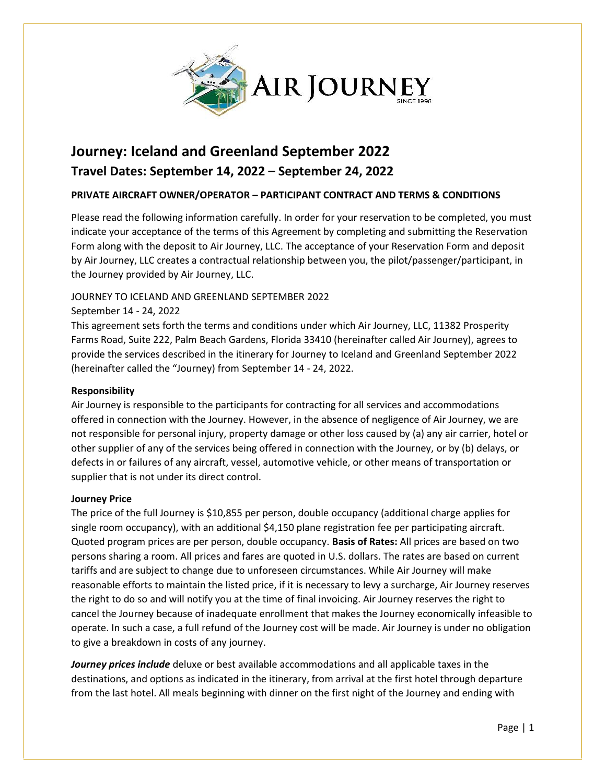

# **Journey: Iceland and Greenland September 2022 Travel Dates: September 14, 2022 – September 24, 2022**

# **PRIVATE AIRCRAFT OWNER/OPERATOR – PARTICIPANT CONTRACT AND TERMS & CONDITIONS**

Please read the following information carefully. In order for your reservation to be completed, you must indicate your acceptance of the terms of this Agreement by completing and submitting the Reservation Form along with the deposit to Air Journey, LLC. The acceptance of your Reservation Form and deposit by Air Journey, LLC creates a contractual relationship between you, the pilot/passenger/participant, in the Journey provided by Air Journey, LLC.

# JOURNEY TO ICELAND AND GREENLAND SEPTEMBER 2022

# September 14 - 24, 2022

This agreement sets forth the terms and conditions under which Air Journey, LLC, 11382 Prosperity Farms Road, Suite 222, Palm Beach Gardens, Florida 33410 (hereinafter called Air Journey), agrees to provide the services described in the itinerary for Journey to Iceland and Greenland September 2022 (hereinafter called the "Journey) from September 14 - 24, 2022.

## **Responsibility**

Air Journey is responsible to the participants for contracting for all services and accommodations offered in connection with the Journey. However, in the absence of negligence of Air Journey, we are not responsible for personal injury, property damage or other loss caused by (a) any air carrier, hotel or other supplier of any of the services being offered in connection with the Journey, or by (b) delays, or defects in or failures of any aircraft, vessel, automotive vehicle, or other means of transportation or supplier that is not under its direct control.

## **Journey Price**

The price of the full Journey is \$10,855 per person, double occupancy (additional charge applies for single room occupancy), with an additional \$4,150 plane registration fee per participating aircraft. Quoted program prices are per person, double occupancy. **Basis of Rates:** All prices are based on two persons sharing a room. All prices and fares are quoted in U.S. dollars. The rates are based on current tariffs and are subject to change due to unforeseen circumstances. While Air Journey will make reasonable efforts to maintain the listed price, if it is necessary to levy a surcharge, Air Journey reserves the right to do so and will notify you at the time of final invoicing. Air Journey reserves the right to cancel the Journey because of inadequate enrollment that makes the Journey economically infeasible to operate. In such a case, a full refund of the Journey cost will be made. Air Journey is under no obligation to give a breakdown in costs of any journey.

*Journey prices include* deluxe or best available accommodations and all applicable taxes in the destinations, and options as indicated in the itinerary, from arrival at the first hotel through departure from the last hotel. All meals beginning with dinner on the first night of the Journey and ending with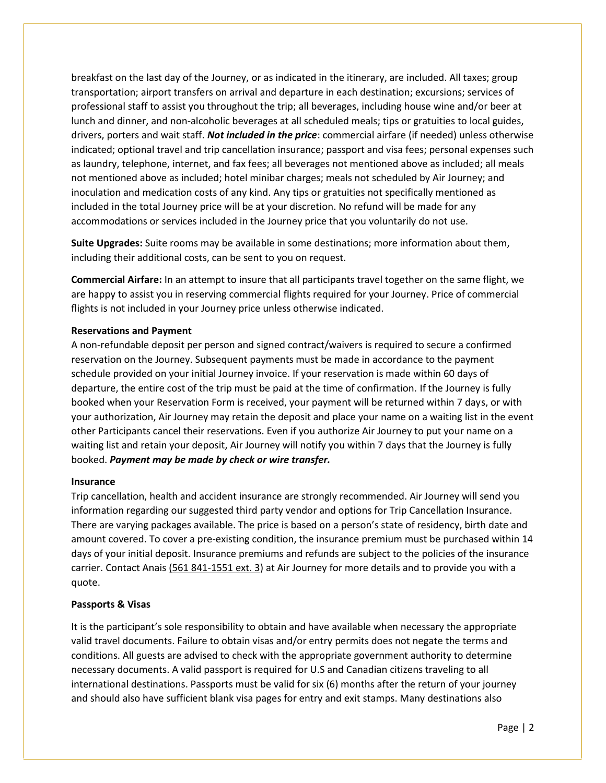breakfast on the last day of the Journey, or as indicated in the itinerary, are included. All taxes; group transportation; airport transfers on arrival and departure in each destination; excursions; services of professional staff to assist you throughout the trip; all beverages, including house wine and/or beer at lunch and dinner, and non-alcoholic beverages at all scheduled meals; tips or gratuities to local guides, drivers, porters and wait staff. *Not included in the price*: commercial airfare (if needed) unless otherwise indicated; optional travel and trip cancellation insurance; passport and visa fees; personal expenses such as laundry, telephone, internet, and fax fees; all beverages not mentioned above as included; all meals not mentioned above as included; hotel minibar charges; meals not scheduled by Air Journey; and inoculation and medication costs of any kind. Any tips or gratuities not specifically mentioned as included in the total Journey price will be at your discretion. No refund will be made for any accommodations or services included in the Journey price that you voluntarily do not use.

**Suite Upgrades:** Suite rooms may be available in some destinations; more information about them, including their additional costs, can be sent to you on request.

**Commercial Airfare:** In an attempt to insure that all participants travel together on the same flight, we are happy to assist you in reserving commercial flights required for your Journey. Price of commercial flights is not included in your Journey price unless otherwise indicated.

## **Reservations and Payment**

A non-refundable deposit per person and signed contract/waivers is required to secure a confirmed reservation on the Journey. Subsequent payments must be made in accordance to the payment schedule provided on your initial Journey invoice. If your reservation is made within 60 days of departure, the entire cost of the trip must be paid at the time of confirmation. If the Journey is fully booked when your Reservation Form is received, your payment will be returned within 7 days, or with your authorization, Air Journey may retain the deposit and place your name on a waiting list in the event other Participants cancel their reservations. Even if you authorize Air Journey to put your name on a waiting list and retain your deposit, Air Journey will notify you within 7 days that the Journey is fully booked. *Payment may be made by check or wire transfer.*

## **Insurance**

Trip cancellation, health and accident insurance are strongly recommended. Air Journey will send you information regarding our suggested third party vendor and options for Trip Cancellation Insurance. There are varying packages available. The price is based on a person's state of residency, birth date and amount covered. To cover a pre-existing condition, the insurance premium must be purchased within 14 days of your initial deposit. Insurance premiums and refunds are subject to the policies of the insurance carrier. Contact Anais (561 841-1551 ext. 3) at Air Journey for more details and to provide you with a quote.

## **Passports & Visas**

It is the participant's sole responsibility to obtain and have available when necessary the appropriate valid travel documents. Failure to obtain visas and/or entry permits does not negate the terms and conditions. All guests are advised to check with the appropriate government authority to determine necessary documents. A valid passport is required for U.S and Canadian citizens traveling to all international destinations. Passports must be valid for six (6) months after the return of your journey and should also have sufficient blank visa pages for entry and exit stamps. Many destinations also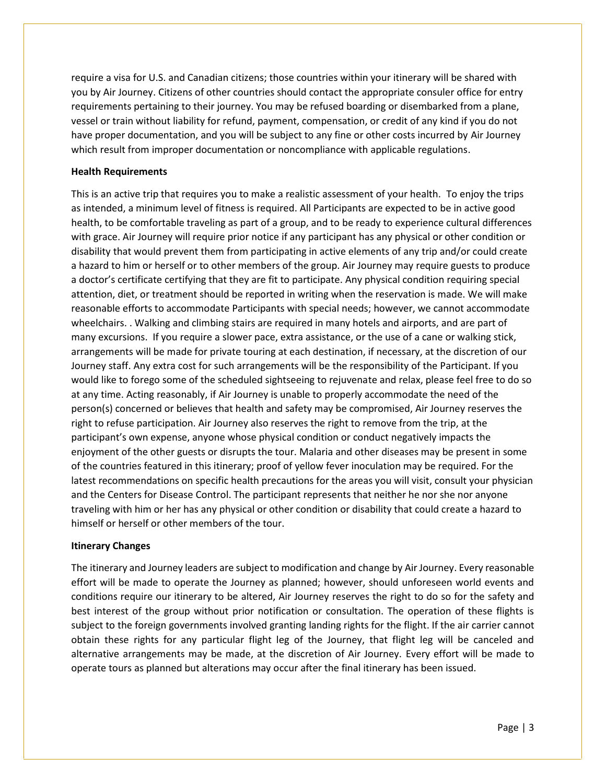require a visa for U.S. and Canadian citizens; those countries within your itinerary will be shared with you by Air Journey. Citizens of other countries should contact the appropriate consuler office for entry requirements pertaining to their journey. You may be refused boarding or disembarked from a plane, vessel or train without liability for refund, payment, compensation, or credit of any kind if you do not have proper documentation, and you will be subject to any fine or other costs incurred by Air Journey which result from improper documentation or noncompliance with applicable regulations.

## **Health Requirements**

This is an active trip that requires you to make a realistic assessment of your health. To enjoy the trips as intended, a minimum level of fitness is required. All Participants are expected to be in active good health, to be comfortable traveling as part of a group, and to be ready to experience cultural differences with grace. Air Journey will require prior notice if any participant has any physical or other condition or disability that would prevent them from participating in active elements of any trip and/or could create a hazard to him or herself or to other members of the group. Air Journey may require guests to produce a doctor's certificate certifying that they are fit to participate. Any physical condition requiring special attention, diet, or treatment should be reported in writing when the reservation is made. We will make reasonable efforts to accommodate Participants with special needs; however, we cannot accommodate wheelchairs. . Walking and climbing stairs are required in many hotels and airports, and are part of many excursions. If you require a slower pace, extra assistance, or the use of a cane or walking stick, arrangements will be made for private touring at each destination, if necessary, at the discretion of our Journey staff. Any extra cost for such arrangements will be the responsibility of the Participant. If you would like to forego some of the scheduled sightseeing to rejuvenate and relax, please feel free to do so at any time. Acting reasonably, if Air Journey is unable to properly accommodate the need of the person(s) concerned or believes that health and safety may be compromised, Air Journey reserves the right to refuse participation. Air Journey also reserves the right to remove from the trip, at the participant's own expense, anyone whose physical condition or conduct negatively impacts the enjoyment of the other guests or disrupts the tour. Malaria and other diseases may be present in some of the countries featured in this itinerary; proof of yellow fever inoculation may be required. For the latest recommendations on specific health precautions for the areas you will visit, consult your physician and the Centers for Disease Control. The participant represents that neither he nor she nor anyone traveling with him or her has any physical or other condition or disability that could create a hazard to himself or herself or other members of the tour.

## **Itinerary Changes**

The itinerary and Journey leaders are subject to modification and change by Air Journey. Every reasonable effort will be made to operate the Journey as planned; however, should unforeseen world events and conditions require our itinerary to be altered, Air Journey reserves the right to do so for the safety and best interest of the group without prior notification or consultation. The operation of these flights is subject to the foreign governments involved granting landing rights for the flight. If the air carrier cannot obtain these rights for any particular flight leg of the Journey, that flight leg will be canceled and alternative arrangements may be made, at the discretion of Air Journey. Every effort will be made to operate tours as planned but alterations may occur after the final itinerary has been issued.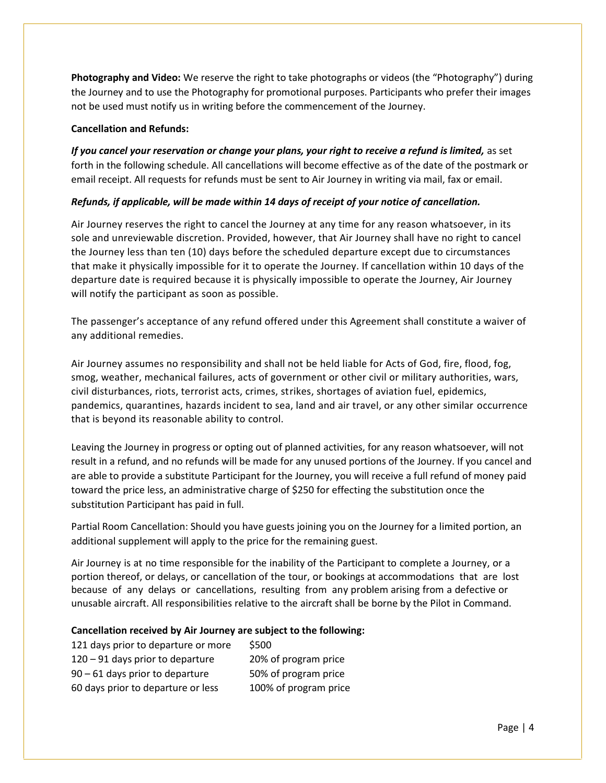**Photography and Video:** We reserve the right to take photographs or videos (the "Photography") during the Journey and to use the Photography for promotional purposes. Participants who prefer their images not be used must notify us in writing before the commencement of the Journey.

## **Cancellation and Refunds:**

*If you cancel your reservation or change your plans, your right to receive a refund is limited,* as set forth in the following schedule. All cancellations will become effective as of the date of the postmark or email receipt. All requests for refunds must be sent to Air Journey in writing via mail, fax or email.

# *Refunds, if applicable, will be made within 14 days of receipt of your notice of cancellation.*

Air Journey reserves the right to cancel the Journey at any time for any reason whatsoever, in its sole and unreviewable discretion. Provided, however, that Air Journey shall have no right to cancel the Journey less than ten (10) days before the scheduled departure except due to circumstances that make it physically impossible for it to operate the Journey. If cancellation within 10 days of the departure date is required because it is physically impossible to operate the Journey, Air Journey will notify the participant as soon as possible.

The passenger's acceptance of any refund offered under this Agreement shall constitute a waiver of any additional remedies.

Air Journey assumes no responsibility and shall not be held liable for Acts of God, fire, flood, fog, smog, weather, mechanical failures, acts of government or other civil or military authorities, wars, civil disturbances, riots, terrorist acts, crimes, strikes, shortages of aviation fuel, epidemics, pandemics, quarantines, hazards incident to sea, land and air travel, or any other similar occurrence that is beyond its reasonable ability to control.

Leaving the Journey in progress or opting out of planned activities, for any reason whatsoever, will not result in a refund, and no refunds will be made for any unused portions of the Journey. If you cancel and are able to provide a substitute Participant for the Journey, you will receive a full refund of money paid toward the price less, an administrative charge of \$250 for effecting the substitution once the substitution Participant has paid in full.

Partial Room Cancellation: Should you have guests joining you on the Journey for a limited portion, an additional supplement will apply to the price for the remaining guest.

Air Journey is at no time responsible for the inability of the Participant to complete a Journey, or a portion thereof, or delays, or cancellation of the tour, or bookings at accommodations that are lost because of any delays or cancellations, resulting from any problem arising from a defective or unusable aircraft. All responsibilities relative to the aircraft shall be borne by the Pilot in Command.

# **Cancellation received by Air Journey are subject to the following:**

| 121 days prior to departure or more | \$500                 |
|-------------------------------------|-----------------------|
| 120 - 91 days prior to departure    | 20% of program price  |
| $90 - 61$ days prior to departure   | 50% of program price  |
| 60 days prior to departure or less  | 100% of program price |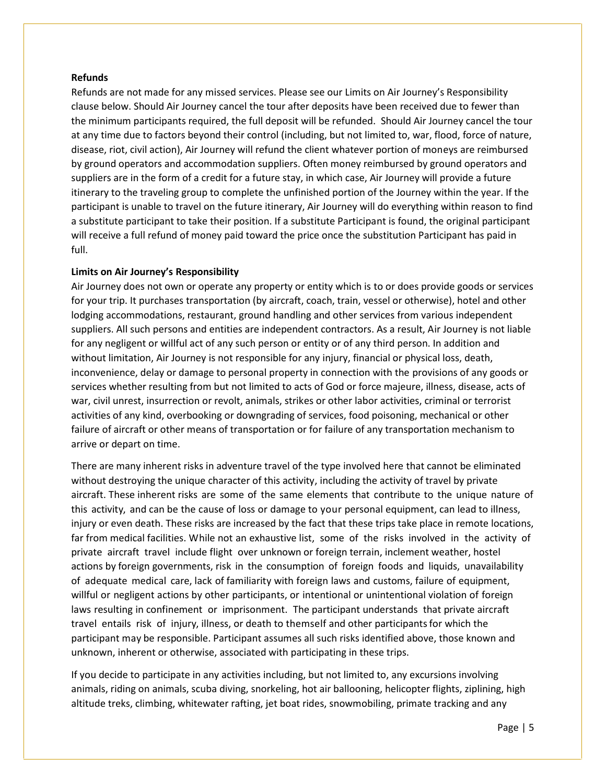## **Refunds**

Refunds are not made for any missed services. Please see our Limits on Air Journey's Responsibility clause below. Should Air Journey cancel the tour after deposits have been received due to fewer than the minimum participants required, the full deposit will be refunded. Should Air Journey cancel the tour at any time due to factors beyond their control (including, but not limited to, war, flood, force of nature, disease, riot, civil action), Air Journey will refund the client whatever portion of moneys are reimbursed by ground operators and accommodation suppliers. Often money reimbursed by ground operators and suppliers are in the form of a credit for a future stay, in which case, Air Journey will provide a future itinerary to the traveling group to complete the unfinished portion of the Journey within the year. If the participant is unable to travel on the future itinerary, Air Journey will do everything within reason to find a substitute participant to take their position. If a substitute Participant is found, the original participant will receive a full refund of money paid toward the price once the substitution Participant has paid in full.

# **Limits on Air Journey's Responsibility**

Air Journey does not own or operate any property or entity which is to or does provide goods or services for your trip. It purchases transportation (by aircraft, coach, train, vessel or otherwise), hotel and other lodging accommodations, restaurant, ground handling and other services from various independent suppliers. All such persons and entities are independent contractors. As a result, Air Journey is not liable for any negligent or willful act of any such person or entity or of any third person. In addition and without limitation, Air Journey is not responsible for any injury, financial or physical loss, death, inconvenience, delay or damage to personal property in connection with the provisions of any goods or services whether resulting from but not limited to acts of God or force majeure, illness, disease, acts of war, civil unrest, insurrection or revolt, animals, strikes or other labor activities, criminal or terrorist activities of any kind, overbooking or downgrading of services, food poisoning, mechanical or other failure of aircraft or other means of transportation or for failure of any transportation mechanism to arrive or depart on time.

There are many inherent risks in adventure travel of the type involved here that cannot be eliminated without destroying the unique character of this activity, including the activity of travel by private aircraft. These inherent risks are some of the same elements that contribute to the unique nature of this activity, and can be the cause of loss or damage to your personal equipment, can lead to illness, injury or even death. These risks are increased by the fact that these trips take place in remote locations, far from medical facilities. While not an exhaustive list, some of the risks involved in the activity of private aircraft travel include flight over unknown or foreign terrain, inclement weather, hostel actions by foreign governments, risk in the consumption of foreign foods and liquids, unavailability of adequate medical care, lack offamiliarity with foreign laws and customs, failure of equipment, willful or negligent actions by other participants, or intentional or unintentional violation of foreign laws resulting in confinement or imprisonment. The participant understands that private aircraft travel entails risk of injury, illness, or death to themself and other participantsfor which the participant may be responsible. Participant assumes all such risks identified above, those known and unknown, inherent or otherwise, associated with participating in these trips.

If you decide to participate in any activities including, but not limited to, any excursions involving animals, riding on animals, scuba diving, snorkeling, hot air ballooning, helicopter flights, ziplining, high altitude treks, climbing, whitewater rafting, jet boat rides, snowmobiling, primate tracking and any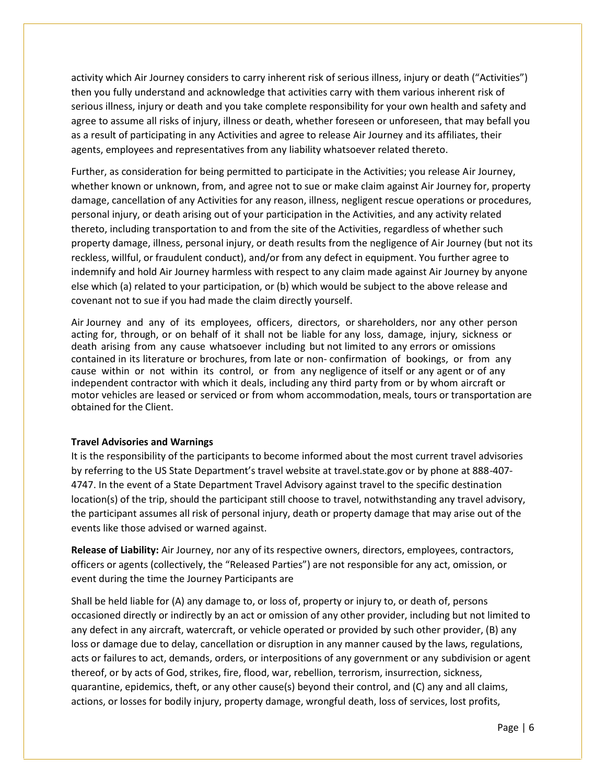activity which Air Journey considers to carry inherent risk of serious illness, injury or death ("Activities") then you fully understand and acknowledge that activities carry with them various inherent risk of serious illness, injury or death and you take complete responsibility for your own health and safety and agree to assume all risks of injury, illness or death, whether foreseen or unforeseen, that may befall you as a result of participating in any Activities and agree to release Air Journey and its affiliates, their agents, employees and representatives from any liability whatsoever related thereto.

Further, as consideration for being permitted to participate in the Activities; you release Air Journey, whether known or unknown, from, and agree not to sue or make claim against Air Journey for, property damage, cancellation of any Activities for any reason, illness, negligent rescue operations or procedures, personal injury, or death arising out of your participation in the Activities, and any activity related thereto, including transportation to and from the site of the Activities, regardless of whether such property damage, illness, personal injury, or death results from the negligence of Air Journey (but not its reckless, willful, or fraudulent conduct), and/or from any defect in equipment. You further agree to indemnify and hold Air Journey harmless with respect to any claim made against Air Journey by anyone else which (a) related to your participation, or (b) which would be subject to the above release and covenant not to sue if you had made the claim directly yourself.

Air Journey and any of its employees, officers, directors, or shareholders, nor any other person acting for, through, or on behalf of it shall not be liable for any loss, damage, injury, sickness or death arising from any cause whatsoever including but not limited to any errors or omissions contained in its literature or brochures, from late or non- confirmation of bookings, or from any cause within or not within its control, or from any negligence of itself or any agent or of any independent contractor with which it deals, including any third party from or by whom aircraft or motor vehicles are leased or serviced or from whom accommodation, meals, tours or transportation are obtained for the Client.

## **Travel Advisories and Warnings**

It is the responsibility of the participants to become informed about the most current travel advisories by referring to the US State Department's travel website at travel.state.gov or by phone at 888-407- 4747. In the event of a State Department Travel Advisory against travel to the specific destination location(s) of the trip, should the participant still choose to travel, notwithstanding any travel advisory, the participant assumes all risk of personal injury, death or property damage that may arise out of the events like those advised or warned against.

**Release of Liability:** Air Journey, nor any of its respective owners, directors, employees, contractors, officers or agents (collectively, the "Released Parties") are not responsible for any act, omission, or event during the time the Journey Participants are

Shall be held liable for (A) any damage to, or loss of, property or injury to, or death of, persons occasioned directly or indirectly by an act or omission of any other provider, including but not limited to any defect in any aircraft, watercraft, or vehicle operated or provided by such other provider, (B) any loss or damage due to delay, cancellation or disruption in any manner caused by the laws, regulations, acts or failures to act, demands, orders, or interpositions of any government or any subdivision or agent thereof, or by acts of God, strikes, fire, flood, war, rebellion, terrorism, insurrection, sickness, quarantine, epidemics, theft, or any other cause(s) beyond their control, and (C) any and all claims, actions, or losses for bodily injury, property damage, wrongful death, loss of services, lost profits,